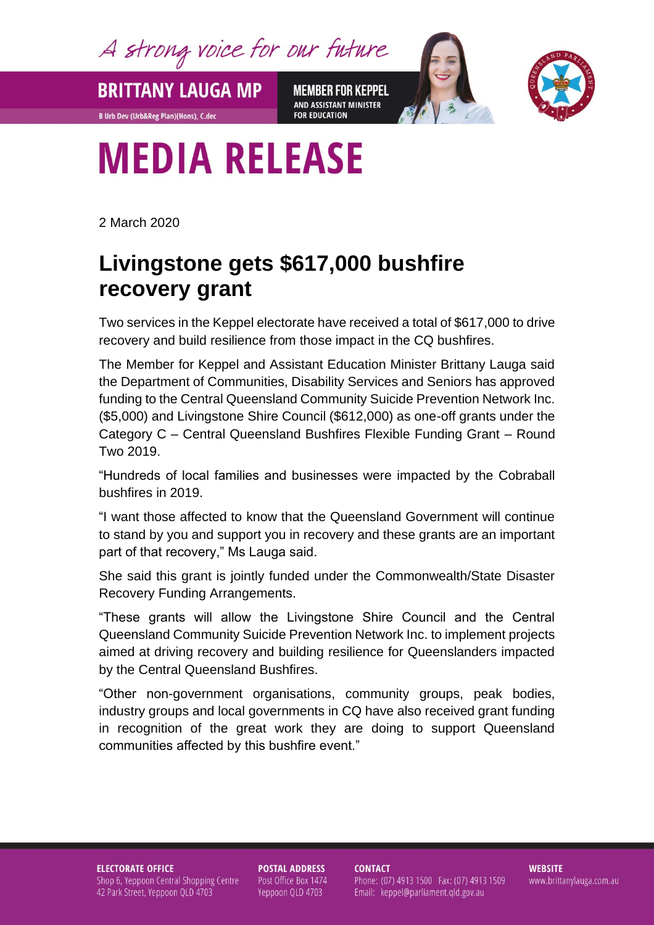A strong voice for our future

**MEMBER FOR KEPPEL** AND ASSISTANT MINISTER **FOR EDUCATION** 



## **MEDIA RELEASE**

**BRITTANY LAUGA MP** 

**B Urb Dev (Urb&Reg Plan)(Hons), C.dec** 

2 March 2020

## **Livingstone gets \$617,000 bushfire recovery grant**

Two services in the Keppel electorate have received a total of \$617,000 to drive recovery and build resilience from those impact in the CQ bushfires.

The Member for Keppel and Assistant Education Minister Brittany Lauga said the Department of Communities, Disability Services and Seniors has approved funding to the Central Queensland Community Suicide Prevention Network Inc. (\$5,000) and Livingstone Shire Council (\$612,000) as one-off grants under the Category C – Central Queensland Bushfires Flexible Funding Grant – Round Two 2019.

"Hundreds of local families and businesses were impacted by the Cobraball bushfires in 2019.

"I want those affected to know that the Queensland Government will continue to stand by you and support you in recovery and these grants are an important part of that recovery," Ms Lauga said.

She said this grant is jointly funded under the Commonwealth/State Disaster Recovery Funding Arrangements.

"These grants will allow the Livingstone Shire Council and the Central Queensland Community Suicide Prevention Network Inc. to implement projects aimed at driving recovery and building resilience for Queenslanders impacted by the Central Queensland Bushfires.

"Other non-government organisations, community groups, peak bodies, industry groups and local governments in CQ have also received grant funding in recognition of the great work they are doing to support Queensland communities affected by this bushfire event."

**ELECTORATE OFFICE** Shop 6, Yeppoon Central Shopping Centre 42 Park Street, Yeppoon QLD 4703

**POSTAL ADDRESS** Post Office Box 1474 Yeppoon QLD 4703

**CONTACT** Phone: (07) 4913 1500 Fax: (07) 4913 1509 Email: keppel@parliament.qld.gov.au

**WEBSITE** www.brittanylauga.com.au